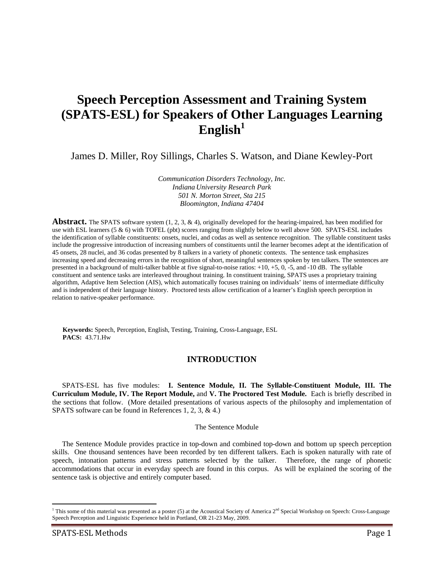# **Speech Perception Assessment and Training System (SPATS-ESL) for Speakers of Other Languages Learning English<sup>1</sup>**

James D. Miller, Roy Sillings, Charles S. Watson, and Diane Kewley-Port

*Communication Disorders Technology, Inc. Indiana University Research Park 501 N. Morton Street, Sta 215 Bloomington, Indiana 47404* 

Abstract. The SPATS software system (1, 2, 3, & 4), originally developed for the hearing-impaired, has been modified for use with ESL learners (5 & 6) with TOFEL (pbt) scores ranging from slightly below to well above 500. SPATS-ESL includes the identification of syllable constituents: onsets, nuclei, and codas as well as sentence recognition. The syllable constituent tasks include the progressive introduction of increasing numbers of constituents until the learner becomes adept at the identification of 45 onsets, 28 nuclei, and 36 codas presented by 8 talkers in a variety of phonetic contexts. The sentence task emphasizes increasing speed and decreasing errors in the recognition of short, meaningful sentences spoken by ten talkers. The sentences are presented in a background of multi-talker babble at five signal-to-noise ratios: +10, +5, 0, -5, and -10 dB. The syllable constituent and sentence tasks are interleaved throughout training. In constituent training, SPATS uses a proprietary training algorithm, Adaptive Item Selection (AIS), which automatically focuses training on individuals' items of intermediate difficulty and is independent of their language history. Proctored tests allow certification of a learner's English speech perception in relation to native-speaker performance.

**Keywords:** Speech, Perception, English, Testing, Training, Cross-Language, ESL **PACS:** 43.71.Hw

# **INTRODUCTION**

SPATS-ESL has five modules: **I. Sentence Module, II. The Syllable-Constituent Module, III. The Curriculum Module, IV. The Report Module,** and **V. The Proctored Test Module.** Each is briefly described in the sections that follow. (More detailed presentations of various aspects of the philosophy and implementation of SPATS software can be found in References 1, 2, 3, & 4.)

#### The Sentence Module

The Sentence Module provides practice in top-down and combined top-down and bottom up speech perception skills. One thousand sentences have been recorded by ten different talkers. Each is spoken naturally with rate of speech, intonation patterns and stress patterns selected by the talker. Therefore, the range of phonetic accommodations that occur in everyday speech are found in this corpus. As will be explained the scoring of the sentence task is objective and entirely computer based.

 $\overline{a}$ 

<sup>&</sup>lt;sup>1</sup> This some of this material was presented as a poster (5) at the Acoustical Society of America  $2<sup>nd</sup>$  Special Workshop on Speech: Cross-Language Speech Perception and Linguistic Experience held in Portland, OR 21-23 May, 2009.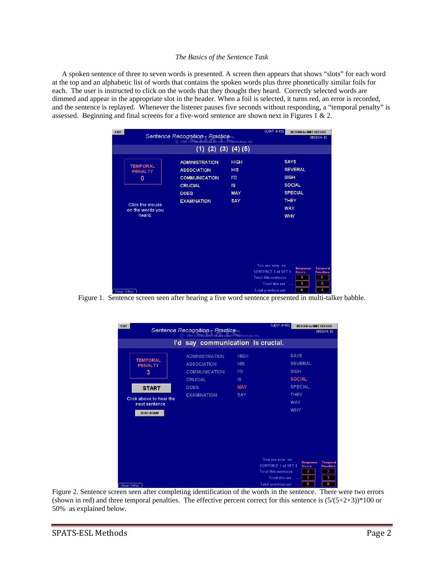#### *The Basics of the Sentence Task*

A spoken sentence of three to seven words is presented. A screen then appears that shows "slots" for each word at the top and an alphabetic list of words that contains the spoken words plus three phonetically similar foils for each. The user is instructed to click on the words that they thought they heard. Correctly selected words are dimmed and appear in the appropriate slot in the header. When a foil is selected, it turns red, an error is recorded, and the sentence is replayed. Whenever the listener pauses five seconds without responding, a "temporal penalty" is assessed. Beginning and final screens for a five-word sentence are shown next in Figures 1 & 2.

| <b>EXIT</b>                                                                                               | Sentence Recognition - Practice<br>(c) 2006 Communication Disorders Technology, Inc.                                       |                                                                           | CLIENT: #1932                                                                                                                    | <b>RETURN to UNIT RECORD</b>                                                                                               | SESSION: #2                                               |
|-----------------------------------------------------------------------------------------------------------|----------------------------------------------------------------------------------------------------------------------------|---------------------------------------------------------------------------|----------------------------------------------------------------------------------------------------------------------------------|----------------------------------------------------------------------------------------------------------------------------|-----------------------------------------------------------|
|                                                                                                           | $(1)$ $(2)$ $(3)$ $(4)$ $(5)$                                                                                              |                                                                           |                                                                                                                                  |                                                                                                                            |                                                           |
| <b>TEMPORAL</b><br><b>PENALTY</b><br>$\mathbf{0}$<br><b>Click the mouse</b><br>on the words you<br>heard. | <b>ADMINISTRATION</b><br><b>ASSOCIATION</b><br><b>COMMUNICATION</b><br><b>CRUCIAL</b><br><b>DOES</b><br><b>EXAMINATION</b> | <b>HIGH</b><br><b>HIS</b><br>l'D<br><b>IS</b><br><b>MAY</b><br><b>SAY</b> |                                                                                                                                  | <b>SAYS</b><br><b>SEVERAL</b><br><b>SIGH</b><br><b>SOCIAL</b><br><b>SPECIAL</b><br><b>THEY</b><br><b>WAY</b><br><b>WHY</b> |                                                           |
| Change Settings                                                                                           |                                                                                                                            |                                                                           | You are now on<br><b>SENTENCE 1 of SET 1</b><br><b>Total this sentence</b><br><b>Total this set</b><br><b>Total previous set</b> | <b>Response</b><br><b>Errors</b><br>$\bf{0}$<br>$\bf{0}$<br>$\sim$<br>$\bf{0}$                                             | <b>Temporal</b><br><b>Penalties</b><br>$\bf{0}$<br>0<br>0 |

Figure 1. Sentence screen seen after hearing a five word sentence presented in multi-talker babble.

| <b>EXIT</b>                               | Sentence Recognition - Practice                          |             | CLIENT: #1932              | <b>RETURN to UNIT RECORD</b><br>SESSION: #2 |                                     |
|-------------------------------------------|----------------------------------------------------------|-------------|----------------------------|---------------------------------------------|-------------------------------------|
|                                           | 2006 Communication Disorders Technology, Inc.<br>$\circ$ |             |                            |                                             |                                     |
|                                           | I'd say communication is crucial.                        |             |                            |                                             |                                     |
|                                           | <b>ADMINISTRATION</b>                                    | <b>HIGH</b> |                            | <b>SAYS</b>                                 |                                     |
| <b>TEMPORAL</b><br><b>PENALTY</b>         | <b>ASSOCIATION</b>                                       | <b>HIS</b>  |                            | <b>SEVERAL</b>                              |                                     |
| 3                                         | <b>COMMUNICATION</b>                                     | <b>I'D</b>  |                            | <b>SIGH</b>                                 |                                     |
|                                           | <b>CRUCIAL</b>                                           | <b>IS</b>   |                            | <b>SOCIAL</b>                               |                                     |
| <b>START</b>                              | <b>DOES</b>                                              | <b>MAY</b>  |                            | <b>SPECIAL</b>                              |                                     |
|                                           | <b>EXAMINATION</b>                                       | <b>SAY</b>  |                            | <b>THEY</b>                                 |                                     |
| Click above to hear the<br>next sentence. |                                                          |             |                            | <b>WAY</b>                                  |                                     |
| <b>HEAR AGAIN</b>                         |                                                          |             |                            | <b>WHY</b>                                  |                                     |
|                                           |                                                          |             |                            |                                             |                                     |
|                                           |                                                          |             |                            |                                             |                                     |
|                                           |                                                          |             |                            |                                             |                                     |
|                                           |                                                          |             |                            |                                             |                                     |
|                                           |                                                          |             |                            |                                             |                                     |
|                                           |                                                          |             | You are now on             |                                             |                                     |
|                                           |                                                          |             | <b>SENTENCE 1 of SET 1</b> | <b>Response</b><br><b>Errors</b>            | <b>Temporal</b><br><b>Penalties</b> |
|                                           |                                                          |             | <b>Total this sentence</b> | 2                                           | 3                                   |
|                                           |                                                          |             | <b>Total this set</b>      | 2                                           | 3                                   |
| Change Settings                           |                                                          |             | <b>Total previous set</b>  | $\bf{0}$                                    | 0                                   |

Figure 2. Sentence screen seen after completing identification of the words in the sentence. There were two errors (shown in red) and three temporal penalties. The effective percent correct for this sentence is  $(5/(5+2+3))*100$  or 50% as explained below.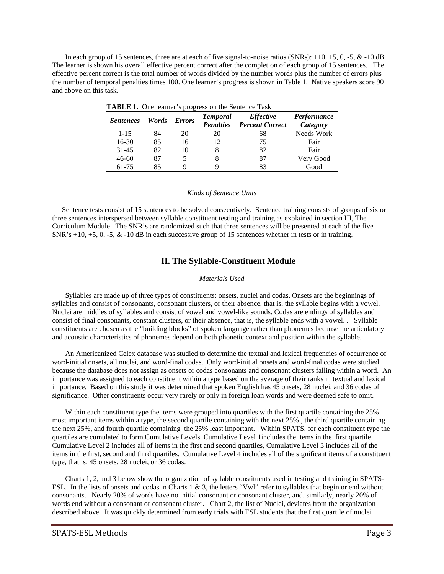In each group of 15 sentences, three are at each of five signal-to-noise ratios (SNRs):  $+10$ ,  $+5$ , 0,  $-5$ , &  $-10$  dB. The learner is shown his overall effective percent correct after the completion of each group of 15 sentences. The effective percent correct is the total number of words divided by the number words plus the number of errors plus the number of temporal penalties times 100. One learner's progress is shown in Table 1. Native speakers score 90 and above on this task.

| <b>THOMAGE 1:</b> One reality a progress on the bentence Task |       |               |                                     |                                            |                         |
|---------------------------------------------------------------|-------|---------------|-------------------------------------|--------------------------------------------|-------------------------|
| <i>Sentences</i>                                              | Words | <b>Errors</b> | <b>Temporal</b><br><b>Penalties</b> | <i>Effective</i><br><b>Percent Correct</b> | Performance<br>Category |
| $1 - 15$                                                      | 84    | 20            | 20                                  | 68                                         | Needs Work              |
| $16-30$                                                       | 85    | 16            | 12                                  | 75                                         | Fair                    |
| $31 - 45$                                                     | 82    | 10            |                                     | 82                                         | Fair                    |
| $46 - 60$                                                     | 87    |               |                                     | 87                                         | Very Good               |
| 61-75                                                         | 85    |               |                                     | 83                                         | Good                    |

 **TABLE 1.** One learner's progress on the Sentence Task

#### *Kinds of Sentence Units*

Sentence tests consist of 15 sentences to be solved consecutively. Sentence training consists of groups of six or three sentences interspersed between syllable constituent testing and training as explained in section III, The Curriculum Module. The SNR's are randomized such that three sentences will be presented at each of the five SNR's  $+10$ ,  $+5$ , 0,  $-5$ , &  $-10$  dB in each successive group of 15 sentences whether in tests or in training.

## **II. The Syllable-Constituent Module**

#### *Materials Used*

Syllables are made up of three types of constituents: onsets, nuclei and codas. Onsets are the beginnings of syllables and consist of consonants, consonant clusters, or their absence, that is, the syllable begins with a vowel. Nuclei are middles of syllables and consist of vowel and vowel-like sounds. Codas are endings of syllables and consist of final consonants, constant clusters, or their absence, that is, the syllable ends with a vowel. . Syllable constituents are chosen as the "building blocks" of spoken language rather than phonemes because the articulatory and acoustic characteristics of phonemes depend on both phonetic context and position within the syllable.

An Americanized Celex database was studied to determine the textual and lexical frequencies of occurrence of word-initial onsets, all nuclei, and word-final codas. Only word-initial onsets and word-final codas were studied because the database does not assign as onsets or codas consonants and consonant clusters falling within a word. An importance was assigned to each constituent within a type based on the average of their ranks in textual and lexical importance. Based on this study it was determined that spoken English has 45 onsets, 28 nuclei, and 36 codas of significance. Other constituents occur very rarely or only in foreign loan words and were deemed safe to omit.

Within each constituent type the items were grouped into quartiles with the first quartile containing the 25% most important items within a type, the second quartile containing with the next 25% , the third quartile containing the next 25%, and fourth quartile containing the 25% least important. Within SPATS, for each constituent type the quartiles are cumulated to form Cumulative Levels. Cumulative Level 1includes the items in the first quartile, Cumulative Level 2 includes all of items in the first and second quartiles, Cumulative Level 3 includes all of the items in the first, second and third quartiles. Cumulative Level 4 includes all of the significant items of a constituent type, that is, 45 onsets, 28 nuclei, or 36 codas.

Charts 1, 2, and 3 below show the organization of syllable constituents used in testing and training in SPATS-ESL. In the lists of onsets and codas in Charts 1 & 3, the letters "Vwl" refer to syllables that begin or end without consonants. Nearly 20% of words have no initial consonant or consonant cluster, and. similarly, nearly 20% of words end without a consonant or consonant cluster. Chart 2, the list of Nuclei, deviates from the organization described above. It was quickly determined from early trials with ESL students that the first quartile of nuclei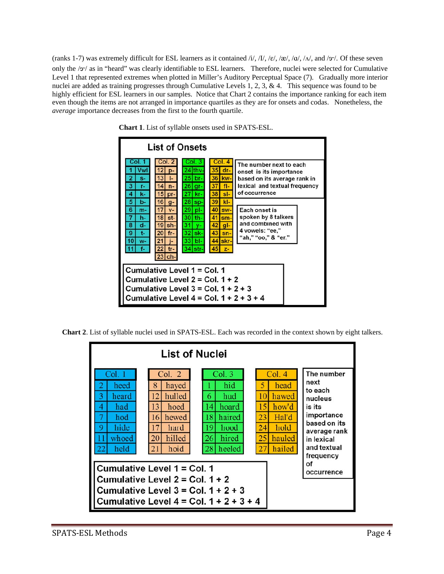(ranks 1-7) was extremely difficult for ESL learners as it contained /i/, /I/, / $\varepsilon$ /, / $\alpha$ /, / $\alpha$ /, / $\alpha$ /, and / $\sigma$ /. Of these seven only the / $\sigma$ / as in "heard" was clearly identifiable to ESL learners. Therefore, nuclei were selected for Cumulative Level 1 that represented extremes when plotted in Miller's Auditory Perceptual Space (7). Gradually more interior nuclei are added as training progresses through Cumulative Levels 1, 2, 3, & 4. This sequence was found to be highly efficient for ESL learners in our samples. Notice that Chart 2 contains the importance ranking for each item even though the items are not arranged in importance quartiles as they are for onsets and codas. Nonetheless, the *average* importance decreases from the first to the fourth quartile.



**Chart 1**. List of syllable onsets used in SPATS-ESL.

**Chart 2**. List of syllable nuclei used in SPATS-ESL. Each was recorded in the context shown by eight talkers.

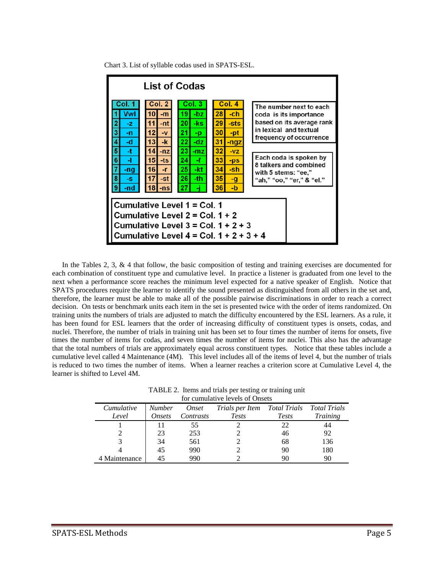Chart 3. List of syllable codas used in SPATS-ESL.



In the Tables 2, 3, & 4 that follow, the basic composition of testing and training exercises are documented for each combination of constituent type and cumulative level. In practice a listener is graduated from one level to the next when a performance score reaches the minimum level expected for a native speaker of English. Notice that SPATS procedures require the learner to identify the sound presented as distinguished from all others in the set and, therefore, the learner must be able to make all of the possible pairwise discriminations in order to reach a correct decision. On tests or benchmark units each item in the set is presented twice with the order of items randomized. On training units the numbers of trials are adjusted to match the difficulty encountered by the ESL learners. As a rule, it has been found for ESL learners that the order of increasing difficulty of constituent types is onsets, codas, and nuclei. Therefore, the number of trials in training unit has been set to four times the number of items for onsets, five times the number of items for codas, and seven times the number of items for nuclei. This also has the advantage that the total numbers of trials are approximately equal across constituent types. Notice that these tables include a cumulative level called 4 Maintenance (4M). This level includes all of the items of level 4, but the number of trials is reduced to two times the number of items. When a learner reaches a criterion score at Cumulative Level 4, the learner is shifted to Level 4M.

TABLE 2. Items and trials per testing or training unit for cumulative levels of Onsets

|               |        |           | <u>tul cumumitye icyclo ul Omscio</u>     |              |                 |
|---------------|--------|-----------|-------------------------------------------|--------------|-----------------|
| Cumulative    | Number | Onset     | Trials per Item Total Trials Total Trials |              |                 |
| Level         | Onsets | Contrasts | Tests                                     | <b>Tests</b> | <i>Training</i> |
|               |        | 55        |                                           | 22           | 44              |
|               | 23     | 253       |                                           | 46           | 92              |
|               | 34     | 561       |                                           | 68           | 136             |
|               | 45     | 990       |                                           | 90           | 180             |
| 4 Maintenance |        | 990       |                                           | 90           | 90              |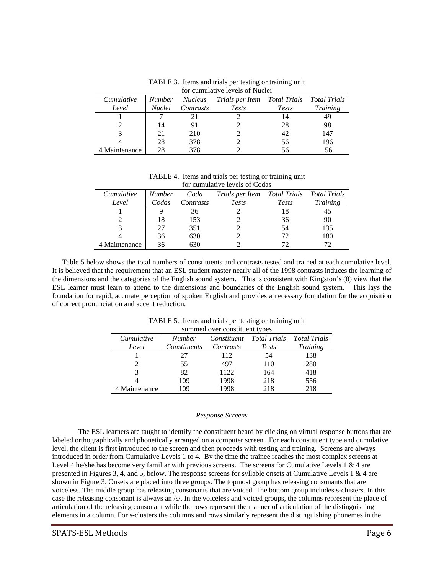|               |               |                | TOI CUIHUMANYE IEVEIS OI TYUCIEI          |              |                 |
|---------------|---------------|----------------|-------------------------------------------|--------------|-----------------|
| Cumulative    | <b>Number</b> | <i>Nucleus</i> | Trials per Item Total Trials Total Trials |              |                 |
| Level         | <i>Nuclei</i> | Contrasts      | Tests                                     | <b>Tests</b> | <i>Training</i> |
|               |               |                |                                           | 14           | 49              |
|               | 14            | 91             |                                           | 28           | 98              |
|               | 21            | 210            |                                           | 42           | 147             |
|               | 28            | 378            |                                           | 56           | 196             |
| 4 Maintenance | 28            | 378            |                                           | 56           | 56              |

TABLE 3. Items and trials per testing or training unit for cumulative levels of Nuclei

TABLE 4. Items and trials per testing or training unit for cumulative levels of Codas

|               |               |           | 191 Camadan , C 10 , Ch, Of Count         |              |                 |
|---------------|---------------|-----------|-------------------------------------------|--------------|-----------------|
| Cumulative    | <b>Number</b> | Coda      | Trials per Item Total Trials Total Trials |              |                 |
| Level         | Codas         | Contrasts | <b>Tests</b>                              | <b>Tests</b> | <b>Training</b> |
|               |               | 36        |                                           | 18           | 45              |
|               | 18            | 153       |                                           | 36           | 90              |
|               |               | 351       |                                           | 54           | 135             |
|               | 36            | 630       |                                           | 72           | 180             |
| 4 Maintenance | 36            | 630       |                                           | 72           |                 |

Table 5 below shows the total numbers of constituents and contrasts tested and trained at each cumulative level. It is believed that the requirement that an ESL student master nearly all of the 1998 contrasts induces the learning of the dimensions and the categories of the English sound system. This is consistent with Kingston's (8) view that the ESL learner must learn to attend to the dimensions and boundaries of the English sound system. This lays the foundation for rapid, accurate perception of spoken English and provides a necessary foundation for the acquisition of correct pronunciation and accent reduction.

|               |               | summed over consuluent types |              |                     |
|---------------|---------------|------------------------------|--------------|---------------------|
| Cumulative    | <b>Number</b> | Constituent                  | Total Trials | <b>Total Trials</b> |
| Level         | Constituents  | Contrasts                    | <b>Tests</b> | Training            |
|               | 27            | 112                          | 54           | 138                 |
|               | 55            | 497                          | 110          | 280                 |
| 3             | 82            | 1122                         | 164          | 418                 |
|               | 109           | 1998                         | 218          | 556                 |
| 4 Maintenance | 109           | 1998                         | 218          | 218                 |

TABLE 5. Items and trials per testing or training unit  $s_{\text{model}}$  over constituent t

#### *Response Screens*

 The ESL learners are taught to identify the constituent heard by clicking on virtual response buttons that are labeled orthographically and phonetically arranged on a computer screen. For each constituent type and cumulative level, the client is first introduced to the screen and then proceeds with testing and training. Screens are always introduced in order from Cumulative Levels 1 to 4. By the time the trainee reaches the most complex screens at Level 4 he/she has become very familiar with previous screens. The screens for Cumulative Levels 1 & 4 are presented in Figures 3, 4, and 5, below. The response screens for syllable onsets at Cumulative Levels 1 & 4 are shown in Figure 3. Onsets are placed into three groups. The topmost group has releasing consonants that are voiceless. The middle group has releasing consonants that are voiced. The bottom group includes s-clusters. In this case the releasing consonant is always an /s/. In the voiceless and voiced groups, the columns represent the place of articulation of the releasing consonant while the rows represent the manner of articulation of the distinguishing elements in a column. For s-clusters the columns and rows similarly represent the distinguishing phonemes in the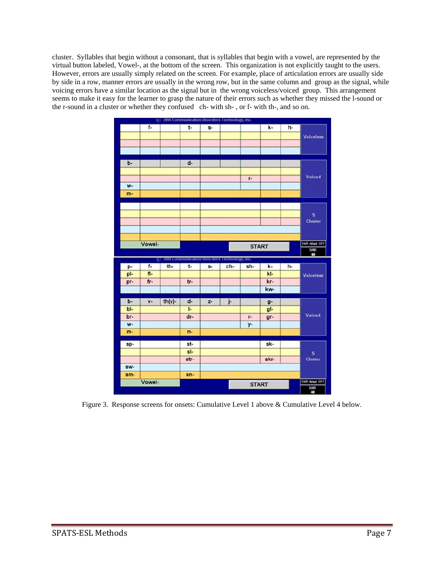cluster. Syllables that begin without a consonant, that is syllables that begin with a vowel, are represented by the virtual button labeled, Vowel-, at the bottom of the screen. This organization is not explicitly taught to the users. However, errors are usually simply related on the screen. For example, place of articulation errors are usually side by side in a row, manner errors are usually in the wrong row, but in the same column and group as the signal, while voicing errors have a similar location as the signal but in the wrong voiceless/voiced group. This arrangement seems to make it easy for the learner to grasp the nature of their errors such as whether they missed the l-sound or the r-sound in a cluster or whether they confused ch- with sh- , or f- with th-, and so on.



Figure 3. Response screens for onsets: Cumulative Level 1 above & Cumulative Level 4 below.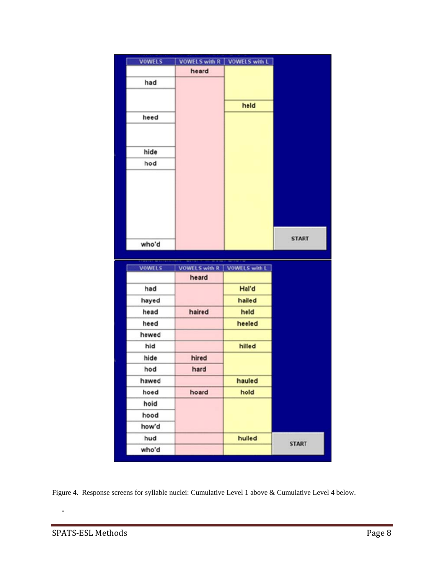| <b>VOWELS</b> | <b>VOWELS with R</b>          | VOWELS with L |              |
|---------------|-------------------------------|---------------|--------------|
|               | heard                         |               |              |
| had           |                               |               |              |
|               |                               |               |              |
|               |                               | held          |              |
| heed          |                               |               |              |
|               |                               |               |              |
|               |                               |               |              |
| hide          |                               |               |              |
| hod           |                               |               |              |
|               |                               |               |              |
|               |                               |               |              |
|               |                               |               |              |
|               |                               |               |              |
|               |                               |               |              |
|               |                               |               |              |
| who'd         |                               |               | <b>START</b> |
|               |                               |               |              |
|               |                               |               |              |
| <b>VOWELS</b> | VOWELS with R   VOWELS with L |               |              |
|               | heard                         |               |              |
| had           |                               | Hal'd         |              |
| hayed         |                               | hailed        |              |
| head          | haired                        | held          |              |
| heed          |                               | heeled        |              |
| hewed         |                               |               |              |
| hid           |                               | hilled        |              |
| hide          | hired                         |               |              |
| hod           | hard                          |               |              |
| hawed         |                               | hauled        |              |
| hoed          | hoard                         | hold          |              |
| hold          |                               |               |              |
| hood          |                               |               |              |
| how'd         |                               |               |              |
| hud           |                               | hulled        | <b>START</b> |

Figure 4. Response screens for syllable nuclei: Cumulative Level 1 above & Cumulative Level 4 below.

**.**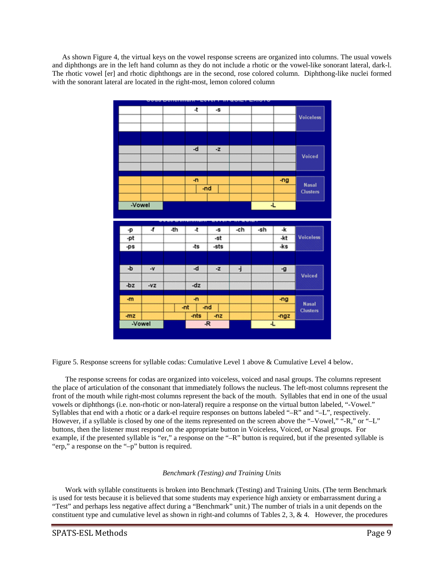As shown Figure 4, the virtual keys on the vowel response screens are organized into columns. The usual vowels and diphthongs are in the left hand column as they do not include a rhotic or the vowel-like sonorant lateral, dark-l. The rhotic vowel [er] and rhotic diphthongs are in the second, rose colored column. Diphthong-like nuclei formed with the sonorant lateral are located in the right-most, lemon colored column



Figure 5. Response screens for syllable codas: Cumulative Level 1 above & Cumulative Level 4 below.

The response screens for codas are organized into voiceless, voiced and nasal groups. The columns represent the place of articulation of the consonant that immediately follows the nucleus. The left-most columns represent the front of the mouth while right-most columns represent the back of the mouth. Syllables that end in one of the usual vowels or diphthongs (i.e. non-rhotic or non-lateral) require a response on the virtual button labeled, "-Vowel." Syllables that end with a rhotic or a dark-el require responses on buttons labeled "–R" and "–L", respectively. However, if a syllable is closed by one of the items represented on the screen above the "–Vowel," "-R," or "–L" buttons, then the listener must respond on the appropriate button in Voiceless, Voiced, or Nasal groups. For example, if the presented syllable is "er," a response on the "–R" button is required, but if the presented syllable is "erp," a response on the "–p" button is required.

## *Benchmark (Testing) and Training Units*

Work with syllable constituents is broken into Benchmark (Testing) and Training Units. (The term Benchmark is used for tests because it is believed that some students may experience high anxiety or embarrassment during a "Test" and perhaps less negative affect during a "Benchmark" unit.) The number of trials in a unit depends on the constituent type and cumulative level as shown in right-and columns of Tables 2, 3, & 4. However, the procedures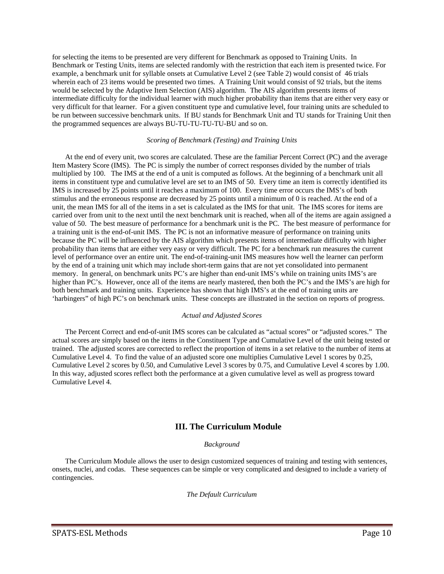for selecting the items to be presented are very different for Benchmark as opposed to Training Units. In Benchmark or Testing Units, items are selected randomly with the restriction that each item is presented twice. For example, a benchmark unit for syllable onsets at Cumulative Level 2 (see Table 2) would consist of 46 trials wherein each of 23 items would be presented two times. A Training Unit would consist of 92 trials, but the items would be selected by the Adaptive Item Selection (AIS) algorithm. The AIS algorithm presents items of intermediate difficulty for the individual learner with much higher probability than items that are either very easy or very difficult for that learner. For a given constituent type and cumulative level, four training units are scheduled to be run between successive benchmark units. If BU stands for Benchmark Unit and TU stands for Training Unit then the programmed sequences are always BU-TU-TU-TU-TU-BU and so on.

#### *Scoring of Benchmark (Testing) and Training Units*

At the end of every unit, two scores are calculated. These are the familiar Percent Correct (PC) and the average Item Mastery Score (IMS). The PC is simply the number of correct responses divided by the number of trials multiplied by 100. The IMS at the end of a unit is computed as follows. At the beginning of a benchmark unit all items in constituent type and cumulative level are set to an IMS of 50. Every time an item is correctly identified its IMS is increased by 25 points until it reaches a maximum of 100. Every time error occurs the IMS's of both stimulus and the erroneous response are decreased by 25 points until a minimum of 0 is reached. At the end of a unit, the mean IMS for all of the items in a set is calculated as the IMS for that unit. The IMS scores for items are carried over from unit to the next until the next benchmark unit is reached, when all of the items are again assigned a value of 50. The best measure of performance for a benchmark unit is the PC. The best measure of performance for a training unit is the end-of-unit IMS. The PC is not an informative measure of performance on training units because the PC will be influenced by the AIS algorithm which presents items of intermediate difficulty with higher probability than items that are either very easy or very difficult. The PC for a benchmark run measures the current level of performance over an entire unit. The end-of-training-unit IMS measures how well the learner can perform by the end of a training unit which may include short-term gains that are not yet consolidated into permanent memory. In general, on benchmark units PC's are higher than end-unit IMS's while on training units IMS's are higher than PC's. However, once all of the items are nearly mastered, then both the PC's and the IMS's are high for both benchmark and training units. Experience has shown that high IMS's at the end of training units are 'harbingers" of high PC's on benchmark units. These concepts are illustrated in the section on reports of progress.

#### *Actual and Adjusted Scores*

The Percent Correct and end-of-unit IMS scores can be calculated as "actual scores" or "adjusted scores." The actual scores are simply based on the items in the Constituent Type and Cumulative Level of the unit being tested or trained. The adjusted scores are corrected to reflect the proportion of items in a set relative to the number of items at Cumulative Level 4. To find the value of an adjusted score one multiplies Cumulative Level 1 scores by 0.25, Cumulative Level 2 scores by 0.50, and Cumulative Level 3 scores by 0.75, and Cumulative Level 4 scores by 1.00. In this way, adjusted scores reflect both the performance at a given cumulative level as well as progress toward Cumulative Level 4.

# **III. The Curriculum Module**

## *Background*

The Curriculum Module allows the user to design customized sequences of training and testing with sentences, onsets, nuclei, and codas. These sequences can be simple or very complicated and designed to include a variety of contingencies.

## *The Default Curriculum*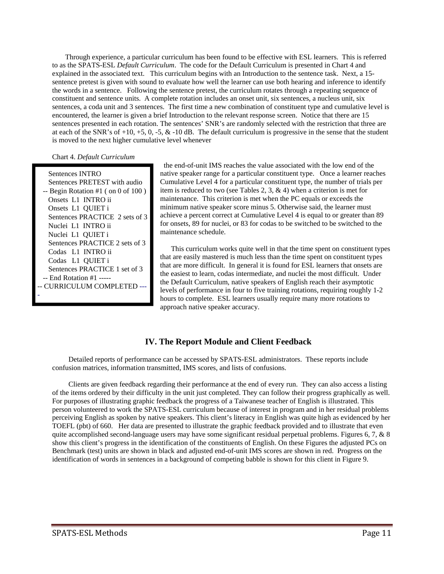Through experience, a particular curriculum has been found to be effective with ESL learners. This is referred to as the SPATS-ESL *Default Curriculum*. The code for the Default Curriculum is presented in Chart 4 and explained in the associated text. This curriculum begins with an Introduction to the sentence task. Next, a 15 sentence pretest is given with sound to evaluate how well the learner can use both hearing and inference to identify the words in a sentence. Following the sentence pretest, the curriculum rotates through a repeating sequence of constituent and sentence units. A complete rotation includes an onset unit, six sentences, a nucleus unit, six sentences, a coda unit and 3 sentences. The first time a new combination of constituent type and cumulative level is encountered, the learner is given a brief Introduction to the relevant response screen. Notice that there are 15 sentences presented in each rotation. The sentences' SNR's are randomly selected with the restriction that three are at each of the SNR's of  $+10$ ,  $+5$ , 0,  $-5$ , &  $-10$  dB. The default curriculum is progressive in the sense that the student is moved to the next higher cumulative level whenever

Chart 4. *Default Curriculum*

 Sentences INTRO Sentences PRETEST with audio  $-$  Begin Rotation #1 ( on 0 of 100 ) Onsets L1 INTRO ii Onsets L1 QUIET i Sentences PRACTICE 2 sets of 3 Nuclei L1 INTRO ii Nuclei L1 QUIET i Sentences PRACTICE 2 sets of 3 Codas L1 INTRO ii Codas L1 QUIET i Sentences PRACTICE 1 set of 3 -- End Rotation #1 ----- -- CURRICULUM COMPLETED --- -

 the end-of-unit IMS reaches the value associated with the low end of the native speaker range for a particular constituent type. Once a learner reaches Cumulative Level 4 for a particular constituent type, the number of trials per item is reduced to two (see Tables 2, 3, & 4) when a criterion is met for maintenance. This criterion is met when the PC equals or exceeds the minimum native speaker score minus 5. Otherwise said, the learner must achieve a percent correct at Cumulative Level 4 is equal to or greater than 89 for onsets, 89 for nuclei, or 83 for codas to be switched to be switched to the maintenance schedule.

 This curriculum works quite well in that the time spent on constituent types that are easily mastered is much less than the time spent on constituent types that are more difficult. In general it is found for ESL learners that onsets are the easiest to learn, codas intermediate, and nuclei the most difficult. Under the Default Curriculum, native speakers of English reach their asymptotic levels of performance in four to five training rotations, requiring roughly 1-2 hours to complete. ESL learners usually require many more rotations to approach native speaker accuracy.

# **IV. The Report Module and Client Feedback**

Detailed reports of performance can be accessed by SPATS-ESL administrators. These reports include confusion matrices, information transmitted, IMS scores, and lists of confusions.

Clients are given feedback regarding their performance at the end of every run. They can also access a listing of the items ordered by their difficulty in the unit just completed. They can follow their progress graphically as well. For purposes of illustrating graphic feedback the progress of a Taiwanese teacher of English is illustrated. This person volunteered to work the SPATS-ESL curriculum because of interest in program and in her residual problems perceiving English as spoken by native speakers. This client's literacy in English was quite high as evidenced by her TOEFL (pbt) of 660. Her data are presented to illustrate the graphic feedback provided and to illustrate that even quite accomplished second-language users may have some significant residual perpetual problems. Figures 6, 7, & 8 show this client's progress in the identification of the constituents of English. On these Figures the adjusted PCs on Benchmark (test) units are shown in black and adjusted end-of-unit IMS scores are shown in red. Progress on the identification of words in sentences in a background of competing babble is shown for this client in Figure 9.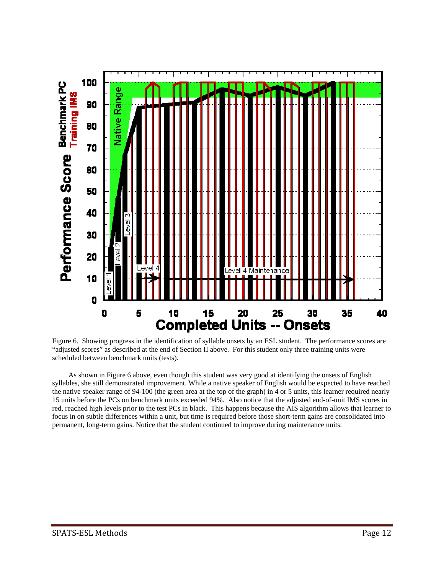

Figure 6. Showing progress in the identification of syllable onsets by an ESL student. The performance scores are "adjusted scores" as described at the end of Section II above. For this student only three training units were scheduled between benchmark units (tests).

As shown in Figure 6 above, even though this student was very good at identifying the onsets of English syllables, she still demonstrated improvement. While a native speaker of English would be expected to have reached the native speaker range of 94-100 (the green area at the top of the graph) in 4 or 5 units, this learner required nearly 15 units before the PCs on benchmark units exceeded 94%. Also notice that the adjusted end-of-unit IMS scores in red, reached high levels prior to the test PCs in black. This happens because the AIS algorithm allows that learner to focus in on subtle differences within a unit, but time is required before those short-term gains are consolidated into permanent, long-term gains. Notice that the student continued to improve during maintenance units.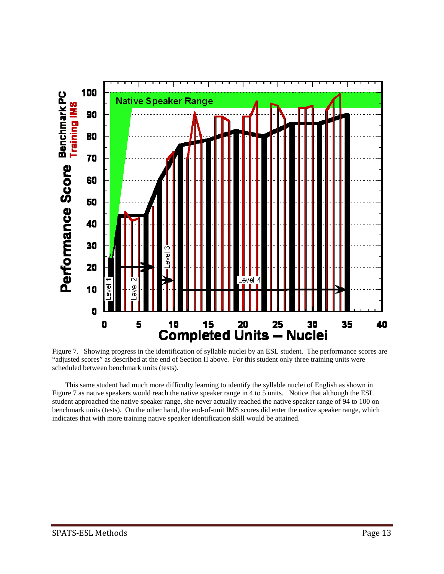

Figure 7. Showing progress in the identification of syllable nuclei by an ESL student. The performance scores are "adjusted scores" as described at the end of Section II above. For this student only three training units were scheduled between benchmark units (tests).

This same student had much more difficulty learning to identify the syllable nuclei of English as shown in Figure 7 as native speakers would reach the native speaker range in 4 to 5 units. Notice that although the ESL student approached the native speaker range, she never actually reached the native speaker range of 94 to 100 on benchmark units (tests). On the other hand, the end-of-unit IMS scores did enter the native speaker range, which indicates that with more training native speaker identification skill would be attained.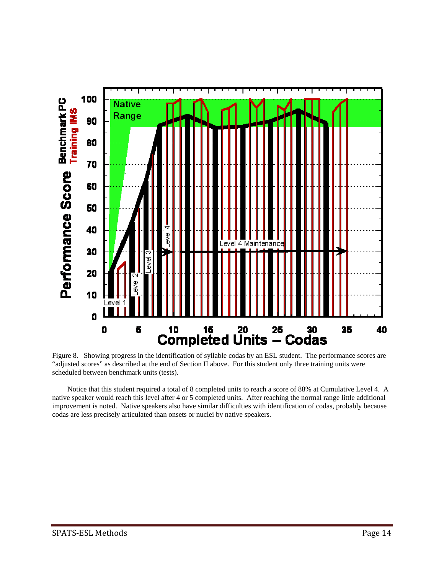



 Notice that this student required a total of 8 completed units to reach a score of 88% at Cumulative Level 4. A native speaker would reach this level after 4 or 5 completed units. After reaching the normal range little additional improvement is noted. Native speakers also have similar difficulties with identification of codas, probably because codas are less precisely articulated than onsets or nuclei by native speakers.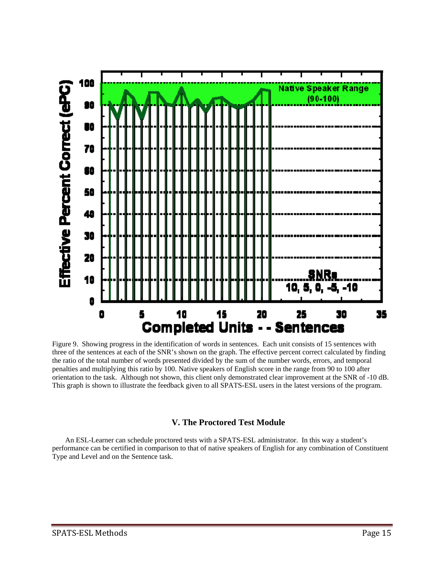

Figure 9. Showing progress in the identification of words in sentences. Each unit consists of 15 sentences with three of the sentences at each of the SNR's shown on the graph. The effective percent correct calculated by finding the ratio of the total number of words presented divided by the sum of the number words, errors, and temporal penalties and multiplying this ratio by 100. Native speakers of English score in the range from 90 to 100 after orientation to the task. Although not shown, this client only demonstrated clear improvement at the SNR of -10 dB. This graph is shown to illustrate the feedback given to all SPATS-ESL users in the latest versions of the program.

# **V. The Proctored Test Module**

An ESL-Learner can schedule proctored tests with a SPATS-ESL administrator. In this way a student's performance can be certified in comparison to that of native speakers of English for any combination of Constituent Type and Level and on the Sentence task.